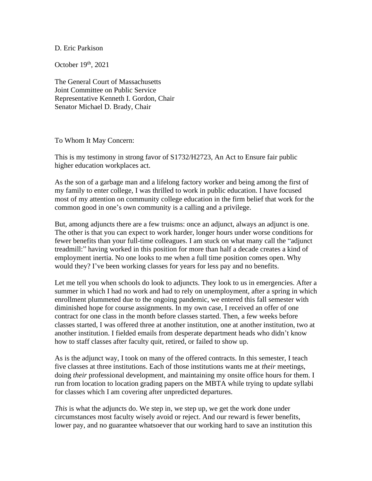D. Eric Parkison

October 19<sup>th</sup>, 2021

The General Court of Massachusetts Joint Committee on Public Service Representative Kenneth I. Gordon, Chair Senator Michael D. Brady, Chair

To Whom It May Concern:

This is my testimony in strong favor of S1732/H2723, An Act to Ensure fair public higher education workplaces act.

As the son of a garbage man and a lifelong factory worker and being among the first of my family to enter college, I was thrilled to work in public education. I have focused most of my attention on community college education in the firm belief that work for the common good in one's own community is a calling and a privilege.

But, among adjuncts there are a few truisms: once an adjunct, always an adjunct is one. The other is that you can expect to work harder, longer hours under worse conditions for fewer benefits than your full-time colleagues. I am stuck on what many call the "adjunct treadmill:" having worked in this position for more than half a decade creates a kind of employment inertia. No one looks to me when a full time position comes open. Why would they? I've been working classes for years for less pay and no benefits.

Let me tell you when schools do look to adjuncts. They look to us in emergencies. After a summer in which I had no work and had to rely on unemployment, after a spring in which enrollment plummeted due to the ongoing pandemic, we entered this fall semester with diminished hope for course assignments. In my own case, I received an offer of one contract for one class in the month before classes started. Then, a few weeks before classes started, I was offered three at another institution, one at another institution, two at another institution. I fielded emails from desperate department heads who didn't know how to staff classes after faculty quit, retired, or failed to show up.

As is the adjunct way, I took on many of the offered contracts. In this semester, I teach five classes at three institutions. Each of those institutions wants me at *their* meetings, doing *their* professional development, and maintaining my onsite office hours for them. I run from location to location grading papers on the MBTA while trying to update syllabi for classes which I am covering after unpredicted departures.

*This* is what the adjuncts do. We step in, we step up, we get the work done under circumstances most faculty wisely avoid or reject. And our reward is fewer benefits, lower pay, and no guarantee whatsoever that our working hard to save an institution this